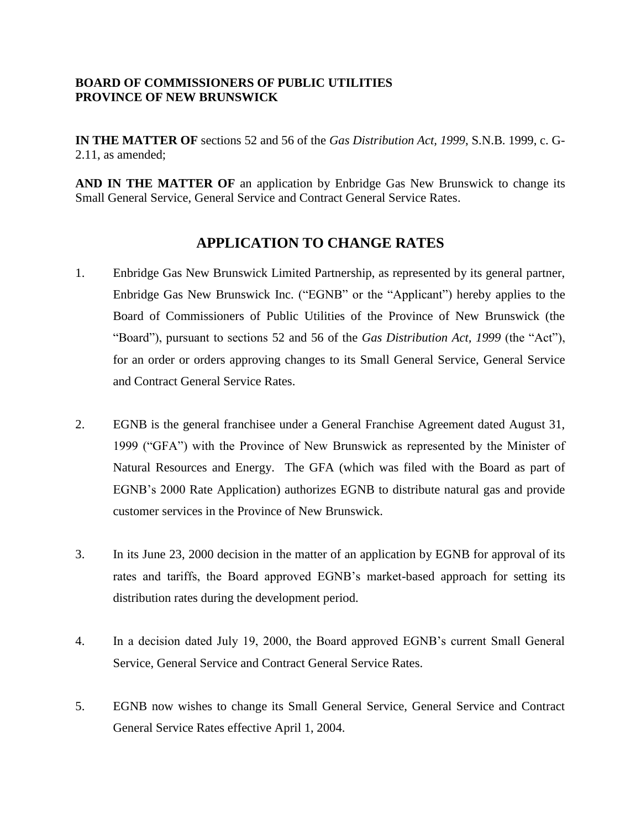## **BOARD OF COMMISSIONERS OF PUBLIC UTILITIES PROVINCE OF NEW BRUNSWICK**

**IN THE MATTER OF** sections 52 and 56 of the *Gas Distribution Act, 1999*, S.N.B. 1999, c. G-2.11, as amended;

**AND IN THE MATTER OF** an application by Enbridge Gas New Brunswick to change its Small General Service, General Service and Contract General Service Rates.

## **APPLICATION TO CHANGE RATES**

- 1. Enbridge Gas New Brunswick Limited Partnership, as represented by its general partner, Enbridge Gas New Brunswick Inc. ("EGNB" or the "Applicant") hereby applies to the Board of Commissioners of Public Utilities of the Province of New Brunswick (the "Board"), pursuant to sections 52 and 56 of the *Gas Distribution Act, 1999* (the "Act"), for an order or orders approving changes to its Small General Service, General Service and Contract General Service Rates.
- 2. EGNB is the general franchisee under a General Franchise Agreement dated August 31, 1999 ("GFA") with the Province of New Brunswick as represented by the Minister of Natural Resources and Energy. The GFA (which was filed with the Board as part of EGNB's 2000 Rate Application) authorizes EGNB to distribute natural gas and provide customer services in the Province of New Brunswick.
- 3. In its June 23, 2000 decision in the matter of an application by EGNB for approval of its rates and tariffs, the Board approved EGNB's market-based approach for setting its distribution rates during the development period.
- 4. In a decision dated July 19, 2000, the Board approved EGNB's current Small General Service, General Service and Contract General Service Rates.
- 5. EGNB now wishes to change its Small General Service, General Service and Contract General Service Rates effective April 1, 2004.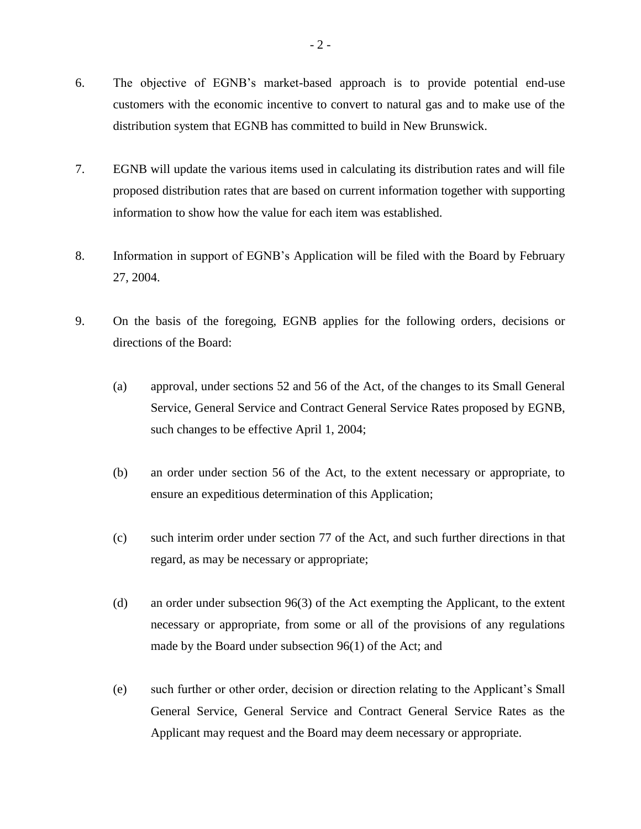- 6. The objective of EGNB's market-based approach is to provide potential end-use customers with the economic incentive to convert to natural gas and to make use of the distribution system that EGNB has committed to build in New Brunswick.
- 7. EGNB will update the various items used in calculating its distribution rates and will file proposed distribution rates that are based on current information together with supporting information to show how the value for each item was established.
- 8. Information in support of EGNB's Application will be filed with the Board by February 27, 2004.
- 9. On the basis of the foregoing, EGNB applies for the following orders, decisions or directions of the Board:
	- (a) approval, under sections 52 and 56 of the Act, of the changes to its Small General Service, General Service and Contract General Service Rates proposed by EGNB, such changes to be effective April 1, 2004;
	- (b) an order under section 56 of the Act, to the extent necessary or appropriate, to ensure an expeditious determination of this Application;
	- (c) such interim order under section 77 of the Act, and such further directions in that regard, as may be necessary or appropriate;
	- (d) an order under subsection 96(3) of the Act exempting the Applicant, to the extent necessary or appropriate, from some or all of the provisions of any regulations made by the Board under subsection 96(1) of the Act; and
	- (e) such further or other order, decision or direction relating to the Applicant's Small General Service, General Service and Contract General Service Rates as the Applicant may request and the Board may deem necessary or appropriate.